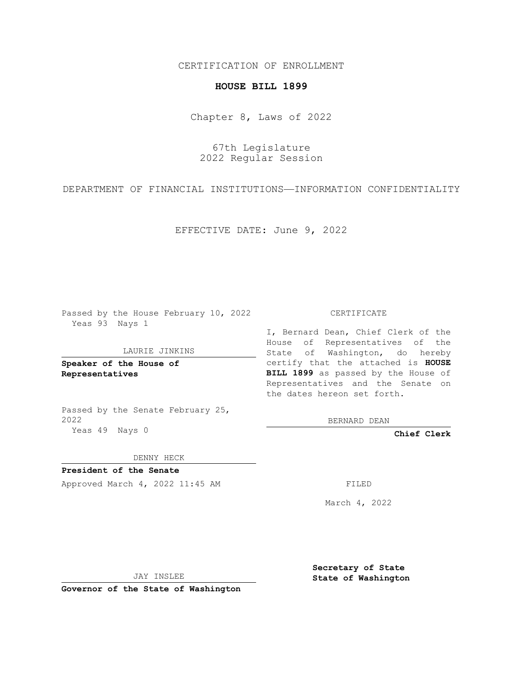CERTIFICATION OF ENROLLMENT

## **HOUSE BILL 1899**

Chapter 8, Laws of 2022

67th Legislature 2022 Regular Session

DEPARTMENT OF FINANCIAL INSTITUTIONS—INFORMATION CONFIDENTIALITY

EFFECTIVE DATE: June 9, 2022

Passed by the House February 10, 2022 Yeas 93 Nays 1

LAURIE JINKINS

**Speaker of the House of Representatives**

Passed by the Senate February 25, 2022 Yeas 49 Nays 0

## CERTIFICATE

I, Bernard Dean, Chief Clerk of the House of Representatives of the State of Washington, do hereby certify that the attached is **HOUSE BILL 1899** as passed by the House of Representatives and the Senate on the dates hereon set forth.

BERNARD DEAN

**Chief Clerk**

DENNY HECK

**President of the Senate**

Approved March 4, 2022 11:45 AM FILED

March 4, 2022

JAY INSLEE

**Governor of the State of Washington**

**Secretary of State State of Washington**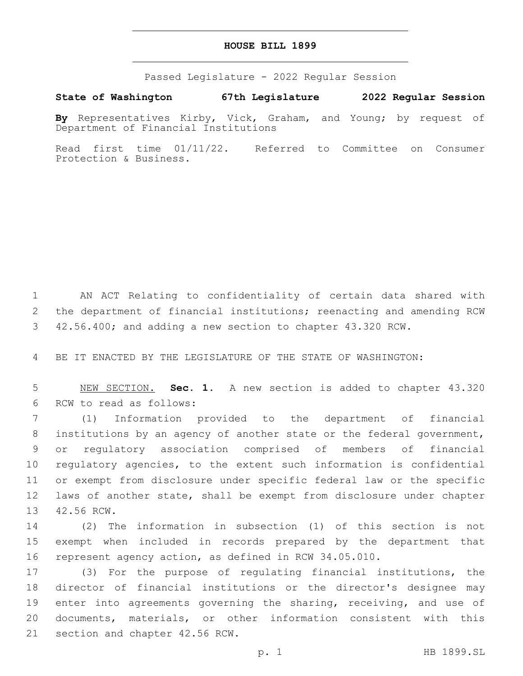## **HOUSE BILL 1899**

Passed Legislature - 2022 Regular Session

**State of Washington 67th Legislature 2022 Regular Session**

**By** Representatives Kirby, Vick, Graham, and Young; by request of Department of Financial Institutions

Read first time 01/11/22. Referred to Committee on Consumer Protection & Business.

1 AN ACT Relating to confidentiality of certain data shared with 2 the department of financial institutions; reenacting and amending RCW 3 42.56.400; and adding a new section to chapter 43.320 RCW.

4 BE IT ENACTED BY THE LEGISLATURE OF THE STATE OF WASHINGTON:

5 NEW SECTION. **Sec. 1.** A new section is added to chapter 43.320 6 RCW to read as follows:

 (1) Information provided to the department of financial institutions by an agency of another state or the federal government, or regulatory association comprised of members of financial regulatory agencies, to the extent such information is confidential or exempt from disclosure under specific federal law or the specific laws of another state, shall be exempt from disclosure under chapter 13 42.56 RCW.

14 (2) The information in subsection (1) of this section is not 15 exempt when included in records prepared by the department that 16 represent agency action, as defined in RCW 34.05.010.

17 (3) For the purpose of regulating financial institutions, the 18 director of financial institutions or the director's designee may 19 enter into agreements governing the sharing, receiving, and use of 20 documents, materials, or other information consistent with this 21 section and chapter 42.56 RCW.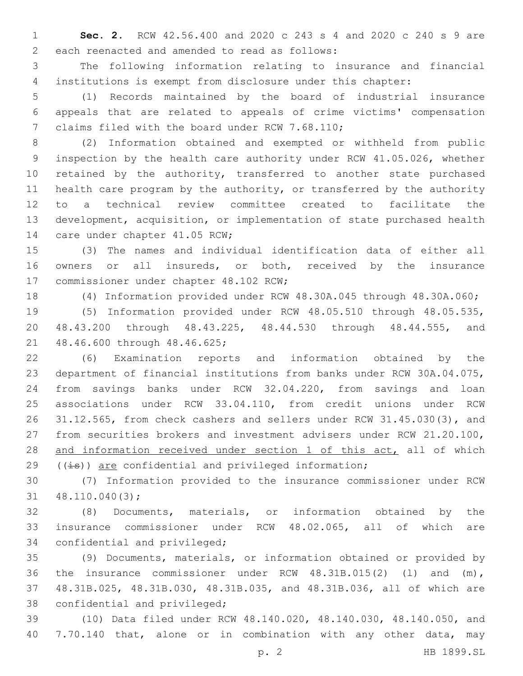**Sec. 2.** RCW 42.56.400 and 2020 c 243 s 4 and 2020 c 240 s 9 are 2 each reenacted and amended to read as follows:

 The following information relating to insurance and financial institutions is exempt from disclosure under this chapter:

 (1) Records maintained by the board of industrial insurance appeals that are related to appeals of crime victims' compensation 7 claims filed with the board under RCW 7.68.110;

 (2) Information obtained and exempted or withheld from public inspection by the health care authority under RCW 41.05.026, whether 10 retained by the authority, transferred to another state purchased health care program by the authority, or transferred by the authority to a technical review committee created to facilitate the development, acquisition, or implementation of state purchased health 14 care under chapter 41.05 RCW;

 (3) The names and individual identification data of either all owners or all insureds, or both, received by the insurance 17 commissioner under chapter 48.102 RCW;

(4) Information provided under RCW 48.30A.045 through 48.30A.060;

 (5) Information provided under RCW 48.05.510 through 48.05.535, 48.43.200 through 48.43.225, 48.44.530 through 48.44.555, and 21 48.46.600 through 48.46.625;

 (6) Examination reports and information obtained by the department of financial institutions from banks under RCW 30A.04.075, from savings banks under RCW 32.04.220, from savings and loan associations under RCW 33.04.110, from credit unions under RCW 31.12.565, from check cashers and sellers under RCW 31.45.030(3), and from securities brokers and investment advisers under RCW 21.20.100, 28 and information received under section 1 of this act, all of which  $((\pm s))$  are confidential and privileged information;

 (7) Information provided to the insurance commissioner under RCW  $31 \quad 48.110.040(3);$ 

 (8) Documents, materials, or information obtained by the insurance commissioner under RCW 48.02.065, all of which are 34 confidential and privileged;

 (9) Documents, materials, or information obtained or provided by the insurance commissioner under RCW 48.31B.015(2) (l) and (m), 48.31B.025, 48.31B.030, 48.31B.035, and 48.31B.036, all of which are 38 confidential and privileged;

 (10) Data filed under RCW 48.140.020, 48.140.030, 48.140.050, and 7.70.140 that, alone or in combination with any other data, may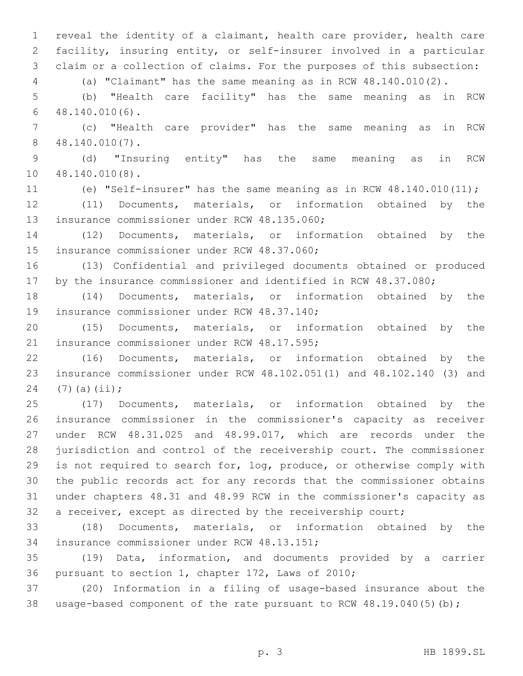reveal the identity of a claimant, health care provider, health care facility, insuring entity, or self-insurer involved in a particular claim or a collection of claims. For the purposes of this subsection: (a) "Claimant" has the same meaning as in RCW 48.140.010(2). (b) "Health care facility" has the same meaning as in RCW  $48.140.010(6)$ . (c) "Health care provider" has the same meaning as in RCW 48.140.010(7).8 (d) "Insuring entity" has the same meaning as in RCW 10 48.140.010(8). (e) "Self-insurer" has the same meaning as in RCW 48.140.010(11); (11) Documents, materials, or information obtained by the 13 insurance commissioner under RCW 48.135.060; (12) Documents, materials, or information obtained by the 15 insurance commissioner under RCW 48.37.060; (13) Confidential and privileged documents obtained or produced by the insurance commissioner and identified in RCW 48.37.080; (14) Documents, materials, or information obtained by the 19 insurance commissioner under RCW 48.37.140; (15) Documents, materials, or information obtained by the 21 insurance commissioner under RCW 48.17.595; (16) Documents, materials, or information obtained by the insurance commissioner under RCW 48.102.051(1) and 48.102.140 (3) and 24 (7)(a)(ii); (17) Documents, materials, or information obtained by the insurance commissioner in the commissioner's capacity as receiver under RCW 48.31.025 and 48.99.017, which are records under the jurisdiction and control of the receivership court. The commissioner is not required to search for, log, produce, or otherwise comply with the public records act for any records that the commissioner obtains under chapters 48.31 and 48.99 RCW in the commissioner's capacity as a receiver, except as directed by the receivership court; (18) Documents, materials, or information obtained by the 34 insurance commissioner under RCW 48.13.151; (19) Data, information, and documents provided by a carrier 36 pursuant to section 1, chapter 172, Laws of 2010;

 (20) Information in a filing of usage-based insurance about the usage-based component of the rate pursuant to RCW 48.19.040(5)(b);